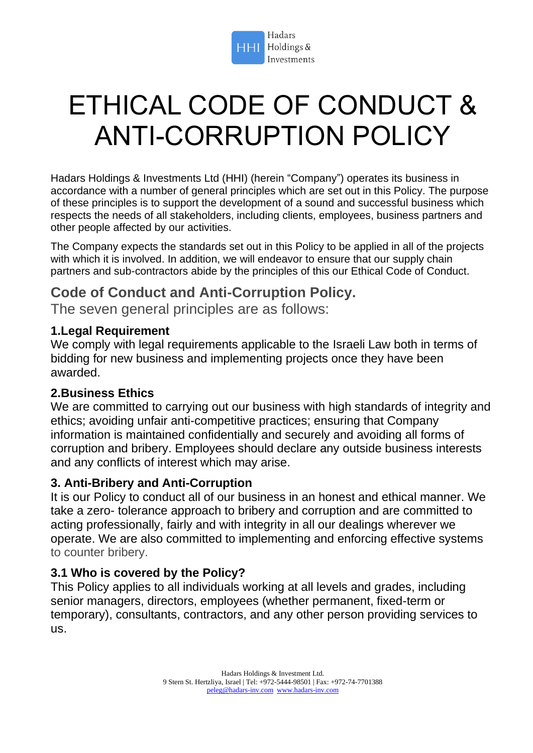

# ETHICAL CODE OF CONDUCT & ANTI-CORRUPTION POLICY

Hadars Holdings & Investments Ltd (HHI) (herein "Company") operates its business in accordance with a number of general principles which are set out in this Policy. The purpose of these principles is to support the development of a sound and successful business which respects the needs of all stakeholders, including clients, employees, business partners and other people affected by our activities.

The Company expects the standards set out in this Policy to be applied in all of the projects with which it is involved. In addition, we will endeavor to ensure that our supply chain partners and sub-contractors abide by the principles of this our Ethical Code of Conduct.

# **Code of Conduct and Anti-Corruption Policy.**

The seven general principles are as follows:

# **1.Legal Requirement**

We comply with legal requirements applicable to the Israeli Law both in terms of bidding for new business and implementing projects once they have been awarded.

# **2.Business Ethics**

We are committed to carrying out our business with high standards of integrity and ethics; avoiding unfair anti-competitive practices; ensuring that Company information is maintained confidentially and securely and avoiding all forms of corruption and bribery. Employees should declare any outside business interests and any conflicts of interest which may arise.

# **3. Anti-Bribery and Anti-Corruption**

It is our Policy to conduct all of our business in an honest and ethical manner. We take a zero- tolerance approach to bribery and corruption and are committed to acting professionally, fairly and with integrity in all our dealings wherever we operate. We are also committed to implementing and enforcing effective systems to counter bribery.

# **3.1 Who is covered by the Policy?**

This Policy applies to all individuals working at all levels and grades, including senior managers, directors, employees (whether permanent, fixed-term or temporary), consultants, contractors, and any other person providing services to us.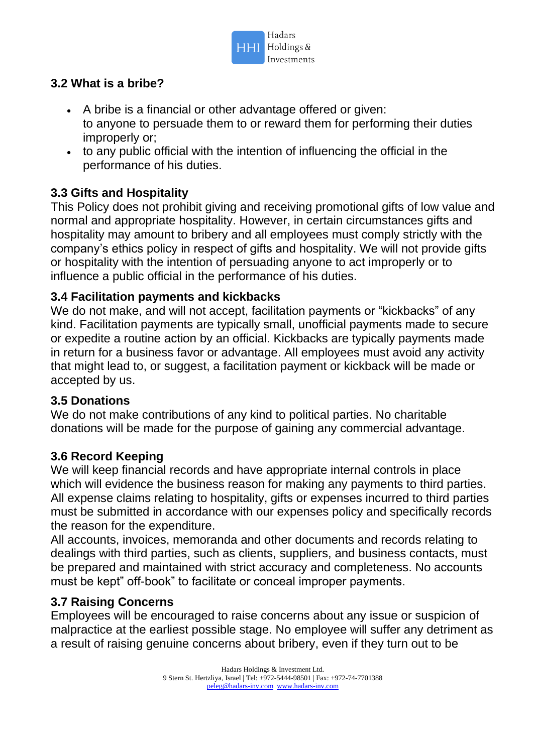

# **3.2 What is a bribe?**

- A bribe is a financial or other advantage offered or given: to anyone to persuade them to or reward them for performing their duties improperly or;
- to any public official with the intention of influencing the official in the performance of his duties.

# **3.3 Gifts and Hospitality**

This Policy does not prohibit giving and receiving promotional gifts of low value and normal and appropriate hospitality. However, in certain circumstances gifts and hospitality may amount to bribery and all employees must comply strictly with the company's ethics policy in respect of gifts and hospitality. We will not provide gifts or hospitality with the intention of persuading anyone to act improperly or to influence a public official in the performance of his duties.

#### **3.4 Facilitation payments and kickbacks**

We do not make, and will not accept, facilitation payments or "kickbacks" of any kind. Facilitation payments are typically small, unofficial payments made to secure or expedite a routine action by an official. Kickbacks are typically payments made in return for a business favor or advantage. All employees must avoid any activity that might lead to, or suggest, a facilitation payment or kickback will be made or accepted by us.

#### **3.5 Donations**

We do not make contributions of any kind to political parties. No charitable donations will be made for the purpose of gaining any commercial advantage.

#### **3.6 Record Keeping**

We will keep financial records and have appropriate internal controls in place which will evidence the business reason for making any payments to third parties. All expense claims relating to hospitality, gifts or expenses incurred to third parties must be submitted in accordance with our expenses policy and specifically records the reason for the expenditure.

All accounts, invoices, memoranda and other documents and records relating to dealings with third parties, such as clients, suppliers, and business contacts, must be prepared and maintained with strict accuracy and completeness. No accounts must be kept" off-book" to facilitate or conceal improper payments.

# **3.7 Raising Concerns**

Employees will be encouraged to raise concerns about any issue or suspicion of malpractice at the earliest possible stage. No employee will suffer any detriment as a result of raising genuine concerns about bribery, even if they turn out to be